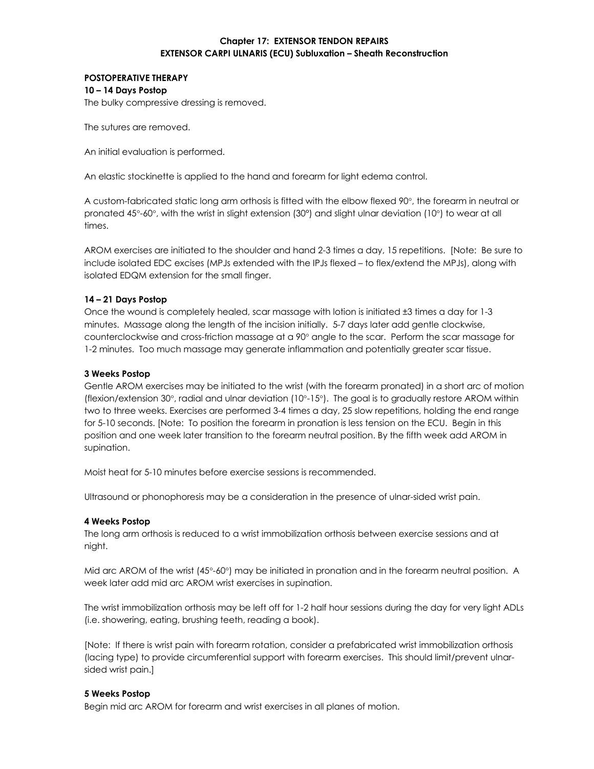# **Chapter 17: EXTENSOR TENDON REPAIRS EXTENSOR CARPI ULNARIS (ECU) Subluxation – Sheath Reconstruction**

## **POSTOPERATIVE THERAPY 10 – 14 Days Postop**

The bulky compressive dressing is removed.

The sutures are removed.

An initial evaluation is performed.

An elastic stockinette is applied to the hand and forearm for light edema control.

A custom-fabricated static long arm orthosis is fitted with the elbow flexed 90°, the forearm in neutral or pronated 45°-60°, with the wrist in slight extension (30°) and slight ulnar deviation (10°) to wear at all times.

AROM exercises are initiated to the shoulder and hand 2-3 times a day, 15 repetitions. [Note: Be sure to include isolated EDC excises (MPJs extended with the IPJs flexed – to flex/extend the MPJs), along with isolated EDQM extension for the small finger.

## **14 – 21 Days Postop**

Once the wound is completely healed, scar massage with lotion is initiated ±3 times a day for 1-3 minutes. Massage along the length of the incision initially. 5-7 days later add gentle clockwise, counterclockwise and cross-friction massage at a 90° angle to the scar. Perform the scar massage for 1-2 minutes. Too much massage may generate inflammation and potentially greater scar tissue.

## **3 Weeks Postop**

Gentle AROM exercises may be initiated to the wrist (with the forearm pronated) in a short arc of motion (flexion/extension 30°, radial and ulnar deviation (10°-15°). The goal is to gradually restore AROM within two to three weeks. Exercises are performed 3-4 times a day, 25 slow repetitions, holding the end range for 5-10 seconds. [Note: To position the forearm in pronation is less tension on the ECU. Begin in this position and one week later transition to the forearm neutral position. By the fifth week add AROM in supination.

Moist heat for 5-10 minutes before exercise sessions is recommended.

Ultrasound or phonophoresis may be a consideration in the presence of ulnar-sided wrist pain.

#### **4 Weeks Postop**

The long arm orthosis is reduced to a wrist immobilization orthosis between exercise sessions and at night.

Mid arc AROM of the wrist (45°-60°) may be initiated in pronation and in the forearm neutral position. A week later add mid arc AROM wrist exercises in supination.

The wrist immobilization orthosis may be left off for 1-2 half hour sessions during the day for very light ADLs (i.e. showering, eating, brushing teeth, reading a book).

[Note: If there is wrist pain with forearm rotation, consider a prefabricated wrist immobilization orthosis (lacing type) to provide circumferential support with forearm exercises. This should limit/prevent ulnarsided wrist pain.]

#### **5 Weeks Postop**

Begin mid arc AROM for forearm and wrist exercises in all planes of motion.